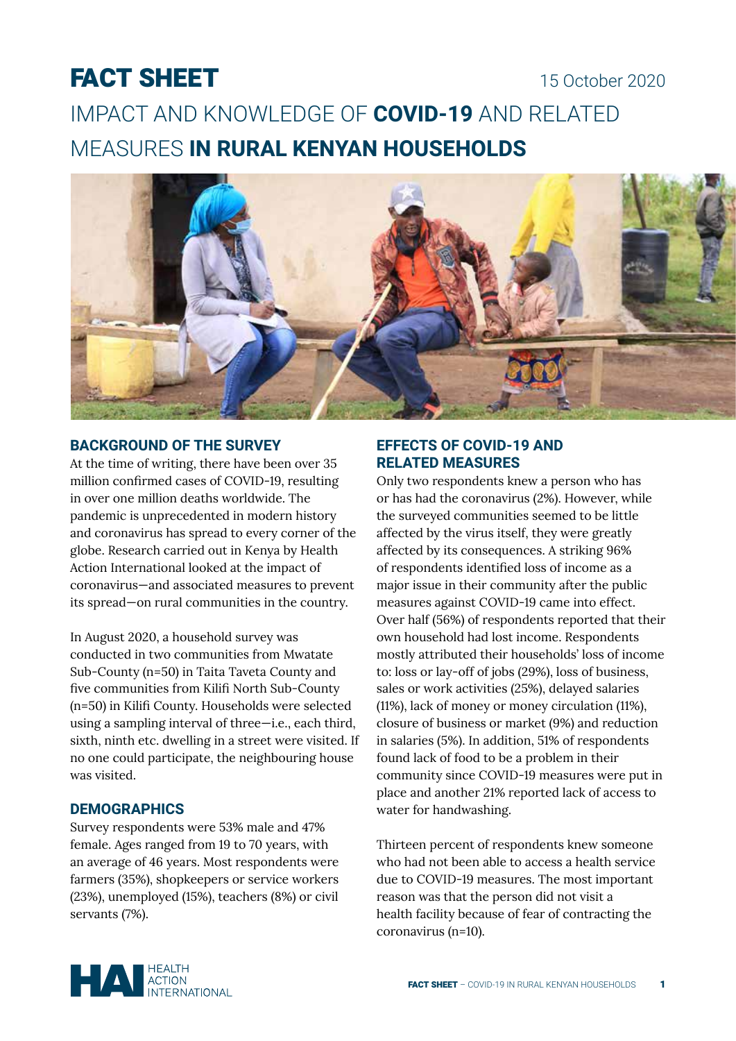# FACT SHEET

# 15 October 2020

IMPACT AND KNOWLEDGE OF **COVID-19** AND RELATED MEASURES **IN RURAL KENYAN HOUSEHOLDS**



### **BACKGROUND OF THE SURVEY**

At the time of writing, there have been over 35 million confirmed cases of COVID-19, resulting in over one million deaths worldwide. The pandemic is unprecedented in modern history and coronavirus has spread to every corner of the globe. Research carried out in Kenya by Health Action International looked at the impact of coronavirus—and associated measures to prevent its spread—on rural communities in the country.

In August 2020, a household survey was conducted in two communities from Mwatate Sub-County (n=50) in Taita Taveta County and five communities from Kilifi North Sub-County (n=50) in Kilifi County. Households were selected using a sampling interval of three—i.e., each third, sixth, ninth etc. dwelling in a street were visited. If no one could participate, the neighbouring house was visited.

#### **DEMOGRAPHICS**

Survey respondents were 53% male and 47% female. Ages ranged from 19 to 70 years, with an average of 46 years. Most respondents were farmers (35%), shopkeepers or service workers (23%), unemployed (15%), teachers (8%) or civil servants (7%).

## **EFFECTS OF COVID-19 AND RELATED MEASURES**

Only two respondents knew a person who has or has had the coronavirus (2%). However, while the surveyed communities seemed to be little affected by the virus itself, they were greatly affected by its consequences. A striking 96% of respondents identified loss of income as a major issue in their community after the public measures against COVID-19 came into effect. Over half (56%) of respondents reported that their own household had lost income. Respondents mostly attributed their households' loss of income to: loss or lay-off of jobs (29%), loss of business, sales or work activities (25%), delayed salaries (11%), lack of money or money circulation (11%), closure of business or market (9%) and reduction in salaries (5%). In addition, 51% of respondents found lack of food to be a problem in their community since COVID-19 measures were put in place and another 21% reported lack of access to water for handwashing.

Thirteen percent of respondents knew someone who had not been able to access a health service due to COVID-19 measures. The most important reason was that the person did not visit a health facility because of fear of contracting the coronavirus (n=10).